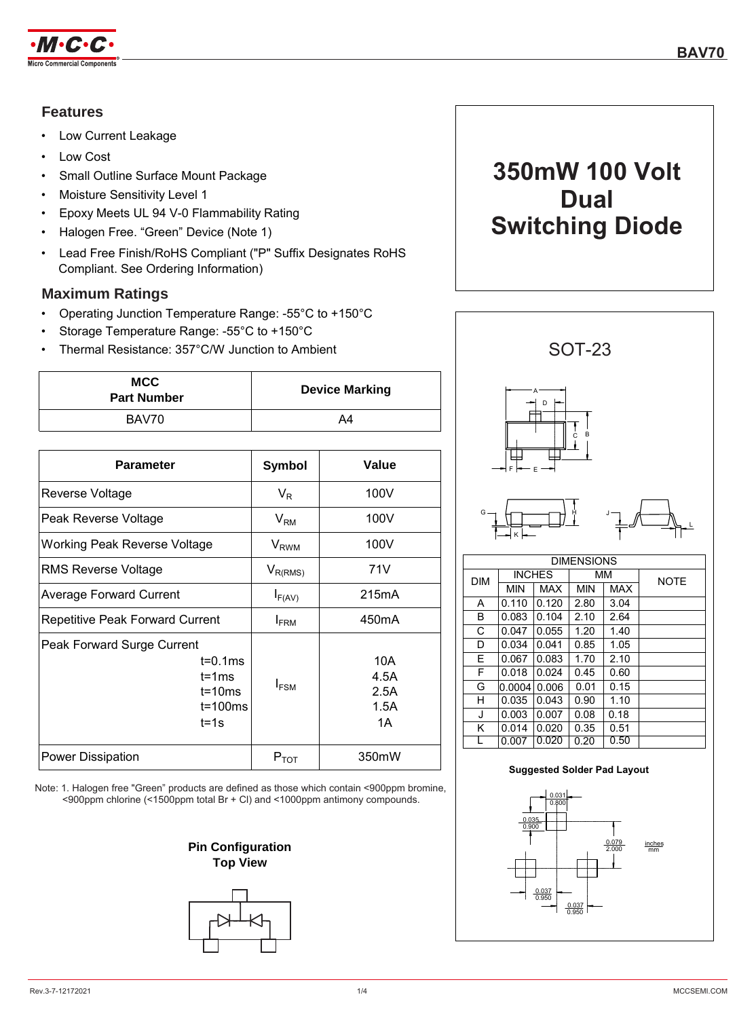

# **Features**

- Low Current Leakage
- Low Cost
- Small Outline Surface Mount Package
- Moisture Sensitivity Level 1
- Epoxy Meets UL 94 V-0 Flammability Rating
- Halogen Free. "Green" Device (Note 1)
- Lead Free Finish/RoHS Compliant ("P" Suffix Designates RoHS Compliant. See Ordering Information)

# **Maximum Ratings**

- Operating Junction Temperature Range: -55°C to +150°C
- Storage Temperature Range: -55°C to +150°C

**MCC**

• Thermal Resistance: 357°C/W Junction to Ambient

| BAV70                                                                                        | A4                                      |                                   |  |  |
|----------------------------------------------------------------------------------------------|-----------------------------------------|-----------------------------------|--|--|
|                                                                                              |                                         |                                   |  |  |
| <b>Parameter</b>                                                                             | <b>Symbol</b>                           | Value                             |  |  |
| Reverse Voltage                                                                              | $V_{R}$                                 | 100V                              |  |  |
| Peak Reverse Voltage                                                                         | $V_{\mathsf{RM}}$                       | 100V                              |  |  |
| <b>Working Peak Reverse Voltage</b>                                                          | <b>V</b> <sub>RWM</sub>                 | 100V                              |  |  |
| RMS Reverse Voltage                                                                          | $\mathsf{V}_{\mathsf{R}(\mathsf{RMS})}$ | 71V                               |  |  |
| <b>Average Forward Current</b>                                                               | $I_{F(AV)}$                             | 215mA                             |  |  |
| <b>Repetitive Peak Forward Current</b>                                                       | $I_{\text{FRM}}$                        | 450 <sub>m</sub> A                |  |  |
| Peak Forward Surge Current<br>$t = 0.1$ ms<br>$t = 1ms$<br>$t = 10ms$<br>t=100ms<br>$t = 1s$ | $I_{FSM}$                               | 10A<br>4.5A<br>2.5A<br>1.5A<br>1A |  |  |
| <b>Power Dissipation</b>                                                                     | $P_{TOT}$                               | 350mW                             |  |  |

**Part Number Device Marking** 

Note: 1. Halogen free "Green" products are defined as those which contain <900ppm bromine, <900ppm chlorine (<1500ppm total Br + Cl) and <1000ppm antimony compounds.





# **350mW 100 Volt Dual Switching Diode**



| A | 0.110  | 0.120 | 2.80 | 3.04 |  |
|---|--------|-------|------|------|--|
| B | 0.083  | 0.104 | 2.10 | 2.64 |  |
| C | 0.047  | 0.055 | 1.20 | 1.40 |  |
| D | 0.034  | 0.041 | 0.85 | 1.05 |  |
| E | 0.067  | 0.083 | 1.70 | 2.10 |  |
| F | 0.018  | 0.024 | 0.45 | 0.60 |  |
| G | 0.0004 | 0.006 | 0.01 | 0.15 |  |
| н | 0.035  | 0.043 | 0.90 | 1.10 |  |
| J | 0.003  | 0.007 | 0.08 | 0.18 |  |
| Κ | 0.014  | 0.020 | 0.35 | 0.51 |  |
| L | 0.007  | 0.020 | 0.20 | 0.50 |  |

#### **Suggested Solder Pad Layout**

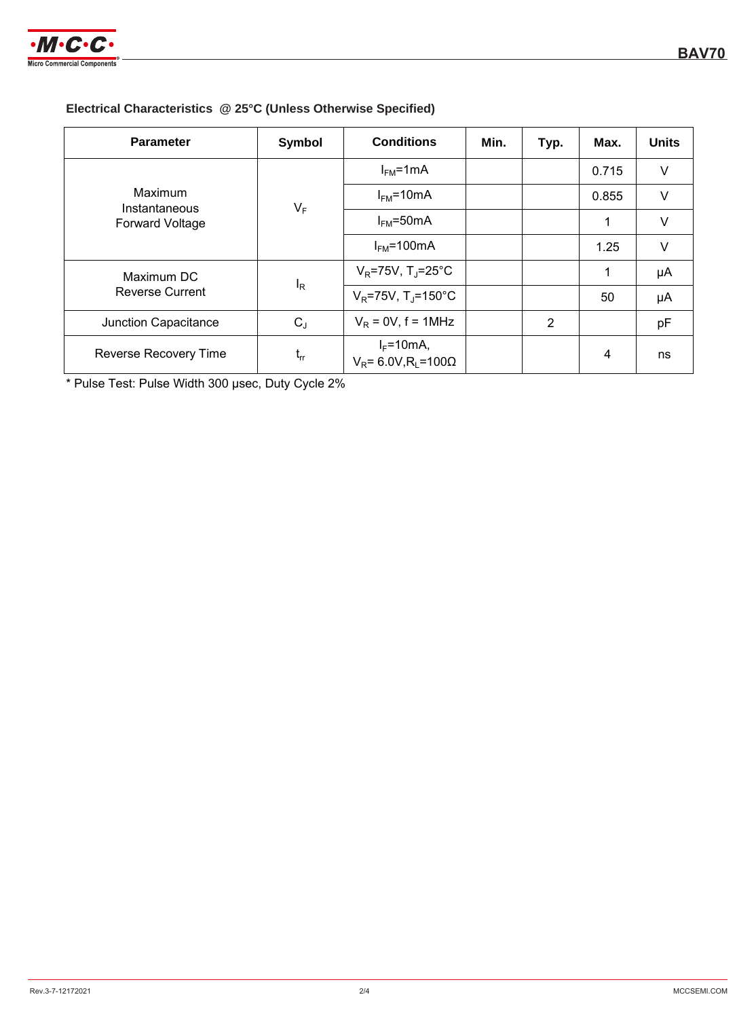

## **Electrical Characteristics @ 25°C (Unless Otherwise Specified)**

| <b>Parameter</b>                                       | Symbol                            | <b>Conditions</b>                                     | Min. | Typ. | Max.  | <b>Units</b> |
|--------------------------------------------------------|-----------------------------------|-------------------------------------------------------|------|------|-------|--------------|
| Maximum<br>Instantaneous<br><b>Forward Voltage</b>     | $V_F$                             | $I_{FM}$ =1mA                                         |      |      | 0.715 | V            |
|                                                        |                                   | $I_{FM}$ =10mA                                        |      |      | 0.855 | v            |
|                                                        |                                   | $I_{FM}$ =50mA                                        |      |      | 1     | V            |
|                                                        |                                   | $I_{FM}$ =100mA                                       |      |      | 1.25  | V            |
| Maximum DC<br><sup>I</sup> R<br><b>Reverse Current</b> |                                   | $V_R$ =75V, T <sub>J</sub> =25°C                      |      |      | 1     | μA           |
|                                                        | $V_R$ =75V, T <sub>J</sub> =150°C |                                                       |      | 50   | μA    |              |
| Junction Capacitance                                   | $C_{J}$                           | $V_R$ = 0V, f = 1MHz                                  |      | 2    |       | pF           |
| Reverse Recovery Time                                  | $t_{rr}$                          | $I_F = 10mA$ ,<br>$V_R$ = 6.0V, R <sub>i</sub> = 100Ω |      |      | 4     | ns           |

\* Pulse Test: Pulse Width 300 μsec, Duty Cycle 2%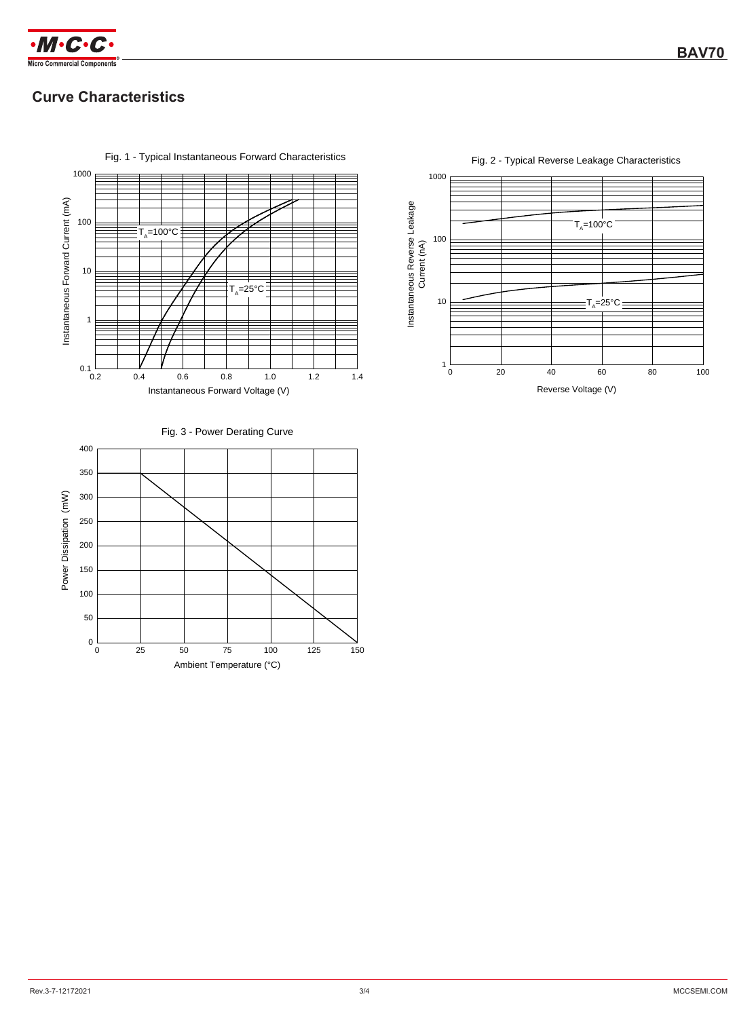

# **Curve Characteristics**



#### Fig. 1 - Typical Instantaneous Forward Characteristics



#### Fig. 2 - Typical Reverse Leakage Characteristics